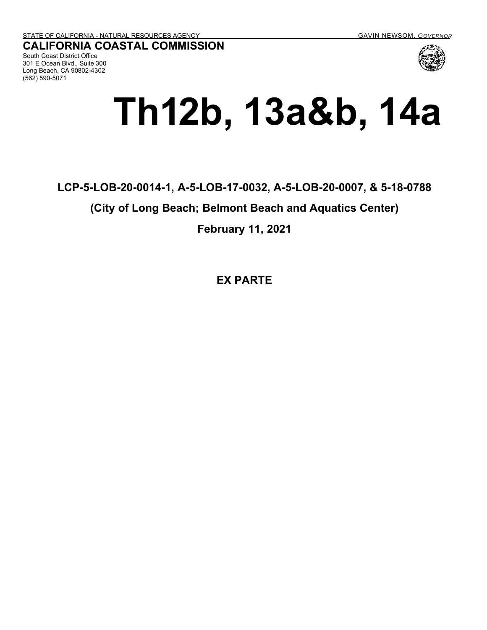**CALIFORNIA COASTAL COMMISSION**

South Coast District Office 301 E Ocean Blvd., Suite 300 Long Beach, CA 90802-4302 (562) 590-5071

# **Th12b, 13a&b, 14a**

### **LCP-5-LOB-20-0014-1, A-5-LOB-17-0032, A-5-LOB-20-0007, & 5-18-0788**

#### **(City of Long Beach; Belmont Beach and Aquatics Center)**

**February 11, 2021** 

**EX PARTE**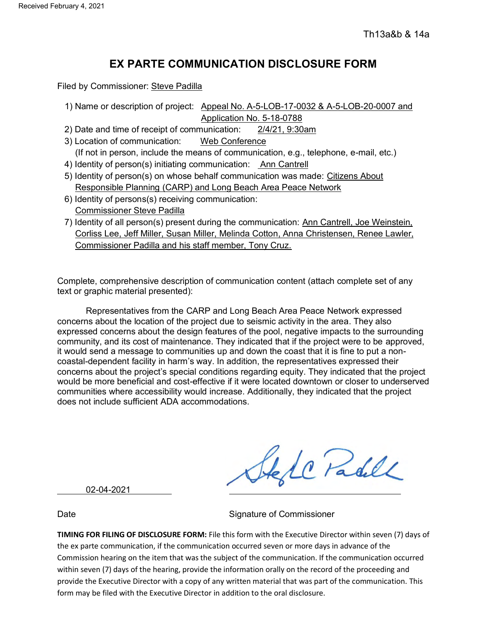#### **EX PARTE COMMUNICATION DISCLOSURE FORM**

Filed by Commissioner: Steve Padilla

- 1) Name or description of project: Appeal No. A-5-LOB-17-0032 & A-5-LOB-20-0007 and Application No. 5-18-0788
- 2) Date and time of receipt of communication: 2/4/21, 9:30am
- 3) Location of communication: Web Conference
- (If not in person, include the means of communication, e.g., telephone, e-mail, etc.)
- 4) Identity of person(s) initiating communication: Ann Cantrell
- 5) Identity of person(s) on whose behalf communication was made: Citizens About Responsible Planning (CARP) and Long Beach Area Peace Network
- 6) Identity of persons(s) receiving communication: Commissioner Steve Padilla
- 7) Identity of all person(s) present during the communication: Ann Cantrell, Joe Weinstein, Corliss Lee, Jeff Miller, Susan Miller, Melinda Cotton, Anna Christensen, Renee Lawler, Commissioner Padilla and his staff member, Tony Cruz.

Complete, comprehensive description of communication content (attach complete set of any text or graphic material presented):

Representatives from the CARP and Long Beach Area Peace Network expressed concerns about the location of the project due to seismic activity in the area. They also expressed concerns about the design features of the pool, negative impacts to the surrounding community, and its cost of maintenance. They indicated that if the project were to be approved, it would send a message to communities up and down the coast that it is fine to put a noncoastal-dependent facility in harm's way. In addition, the representatives expressed their concerns about the project's special conditions regarding equity. They indicated that the project would be more beneficial and cost-effective if it were located downtown or closer to underserved communities where accessibility would increase. Additionally, they indicated that the project does not include sufficient ADA accommodations.

Stell Padle

02-04-2021

Date **Signature of Commissioner** Signature of Commissioner

**TIMING FOR FILING OF DISCLOSURE FORM:** File this form with the Executive Director within seven (7) days of the ex parte communication, if the communication occurred seven or more days in advance of the Commission hearing on the item that was the subject of the communication. If the communication occurred within seven (7) days of the hearing, provide the information orally on the record of the proceeding and provide the Executive Director with a copy of any written material that was part of the communication. This form may be filed with the Executive Director in addition to the oral disclosure.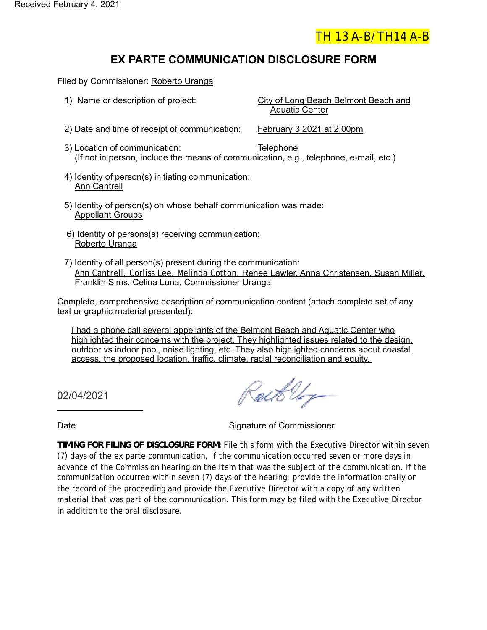

## **EX PARTE COMMUNICATION DISCLOSURE FORM**

Filed by Commissioner: Roberto Uranga

- 1) Name or description of project: City of Long Beach Belmont Beach and Aquatic Center 2) Date and time of receipt of communication: February 3 2021 at 2:00pm 3) Location of communication: Telephone (If not in person, include the means of communication, e.g., telephone, e-mail, etc.) 4) Identity of person(s) initiating communication: Ann Cantrell 5) Identity of person(s) on whose behalf communication was made: Appellant Groups 6) Identity of persons(s) receiving communication: Roberto Uranga
- 7) Identity of all person(s) present during the communication: Ann Cantrell, Corliss Lee, Melinda Cotton, Renee Lawler, Anna Christensen, Susan Miller, Franklin Sims, Celina Luna, Commissioner Uranga

Complete, comprehensive description of communication content (attach complete set of any text or graphic material presented):

I had a phone call several appellants of the Belmont Beach and Aquatic Center who highlighted their concerns with the project. They highlighted issues related to the design, outdoor vs indoor pool, noise lighting, etc. They also highlighted concerns about coastal access, the proposed location, traffic, climate, racial reconciliation and equity.

02/04/2021

Roet Urg-

Date **Signature of Commissioner** Signature of Commissioner

**TIMING FOR FILING OF DISCLOSURE FORM:** File this form with the Executive Director within seven (7) days of the ex parte communication, if the communication occurred seven or more days in advance of the Commission hearing on the item that was the subject of the communication. If the communication occurred within seven (7) days of the hearing, provide the information orally on the record of the proceeding and provide the Executive Director with a copy of any written material that was part of the communication. This form may be filed with the Executive Director in addition to the oral disclosure.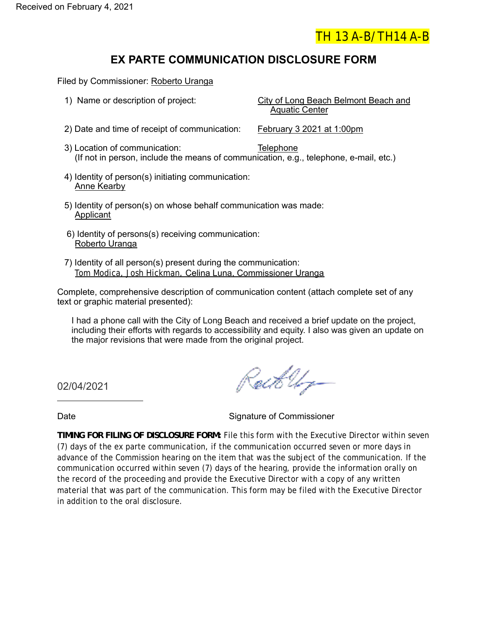

### **EX PARTE COMMUNICATION DISCLOSURE FORM**

Filed by Commissioner: Roberto Uranga

- 1) Name or description of project: City of Long Beach Belmont Beach and Aquatic Center 2) Date and time of receipt of communication: February 3 2021 at 1:00pm 3) Location of communication: Telephone (If not in person, include the means of communication, e.g., telephone, e-mail, etc.) 4) Identity of person(s) initiating communication: Anne Kearby 5) Identity of person(s) on whose behalf communication was made: Applicant
	- 6) Identity of persons(s) receiving communication: Roberto Uranga
- 7) Identity of all person(s) present during the communication: Tom Modica, Josh Hickman, Celina Luna, Commissioner Uranga

Complete, comprehensive description of communication content (attach complete set of any text or graphic material presented):

I had a phone call with the City of Long Beach and received a brief update on the project, including their efforts with regards to accessibility and equity. I also was given an update on the major revisions that were made from the original project.

02/04/2021

RotkUr-

Date **Signature of Commissioner** 

**TIMING FOR FILING OF DISCLOSURE FORM:** File this form with the Executive Director within seven (7) days of the ex parte communication, if the communication occurred seven or more days in advance of the Commission hearing on the item that was the subject of the communication. If the communication occurred within seven (7) days of the hearing, provide the information orally on the record of the proceeding and provide the Executive Director with a copy of any written material that was part of the communication. This form may be filed with the Executive Director in addition to the oral disclosure.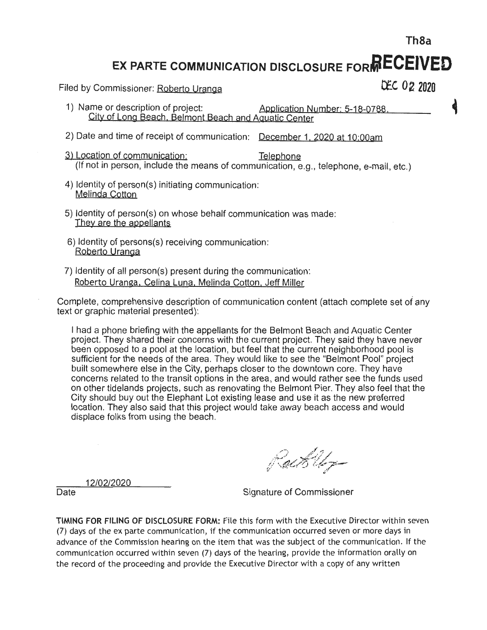EX PARTE COMMUNICATION DISCLOSURE FORMECEIVED

Filed by Commissioner: Roberto Uranga

DEC 02 2020

Th<sub>8a</sub>

- 1) Name or description of project: Application Number: 5-18-0788. City of Long Beach, Belmont Beach and Aquatic Center
- 2) Date and time of receipt of communication: December 1, 2020 at 10:00am
- 3) Location of communication: Telephone (If not in person, include the means of communication, e.g., telephone, e-mail, etc.)
- 4) Identity of person(s) initiating communication: Melinda Cotton
- 5) Identity of person(s) on whose behalf communication was made: They are the appellants
- 6) Identity of persons(s) receiving communication: Roberto Uranga
- 7) Identity of all person(s) present during the communication: Roberto Uranga, Celina Luna, Melinda Cotton, Jeff Miller

Complete, comprehensive description of communication content (attach complete set of any text or graphic material presented):

I had a phone briefing with the appellants for the Belmont Beach and Aquatic Center project. They shared their concerns with the current project. They said they have never been opposed to a pool at the location, but feel that the current neighborhood pool is sufficient for the needs of the area. They would like to see the "Belmont Pool" project built somewhere else in the City, perhaps closer to the downtown core. They have concerns related to the transit options in the area, and would rather see the funds used on other tidelands projects, such as renovating the Belmont Pier. They also feel that the City should buy out the Elephant Lot existing lease and use it as the new preferred location. They also said that this project would take away beach access and would displace folks from using the beach.

RackUr-

12/02/2020

Date

Signature of Commissioner

TIMING FOR FILING OF DISCLOSURE FORM: File this form with the Executive Director within seven (7) days of the ex parte communication, if the communication occurred seven or more days in advance of the Commission hearing on the item that was the subject of the communication. If the communication occurred within seven (7) days of the hearing, provide the information orally on the record of the proceeding and provide the Executive Director with a copy of any written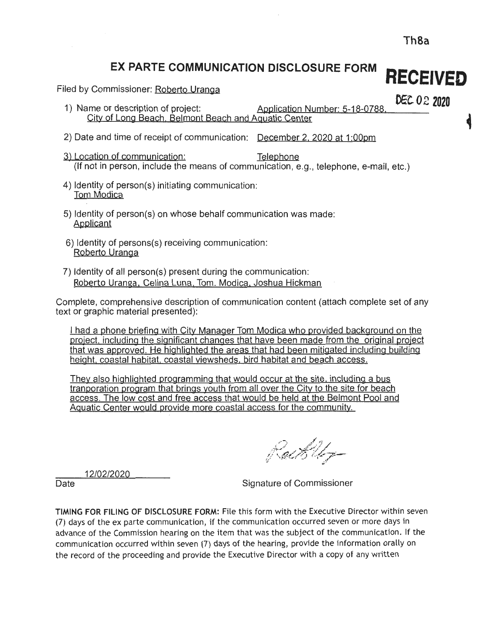#### EX PARTE COMMUNICATION DISCLOSURE FORM **RECEIVED**

Filed by Commissioner: Roberto Uranga

DEC 02 2020

- 1) Name or description of project: Application Number: 5-18-0788 City of Long Beach, Belmont Beach and Aquatic Center
- 2) Date and time of receipt of communication: December 2, 2020 at 1:00pm
- 3) Location of communication: Telephone (If not in person, include the means of communication, e.g., telephone, e-mail, etc.)
- 4) Identity of person(s) initiating communication: Tom Modica
- 5) Identity of person(s) on whose behalf communication was made: Applicant
- 6) Identity of persons(s) receiving communication: Roberto Uranga
- 7) Identity of all person(s) present during the communication: Roberto Uranga, Celina Luna, Tom. Modica, Joshua Hickman

Complete, comprehensive description of communication content (attach complete set of any text or graphic material presented):

I had a phone briefing with City Manager Tom Modica who provided background on the project, including the significant changes that have been made from the original project that was approved. He highlighted the areas that had been mitigated including building height, coastal habitat, coastal viewsheds, bird habitat and beach access.

They also highlighted programming that would occur at the site, including a bus tranporation program that brings youth from all over the City to the site for beach access. The low cost and free access that would be held at the Belmont Pool and Aquatic Center would provide more coastal access for the community.

RackUp

12/02/2020

Date

Signature of Commissioner

TIMING FOR FILING OF DISCLOSURE FORM: File this form with the Executive Director within seven (7) days of the ex parte communication, if the communication occurred seven or more days in advance of the Commission hearing on the item that was the subject of the communication. If the communication occurred within seven (7) days of the hearing, provide the information orally on the record of the proceeding and provide the Executive Director with a copy of any written